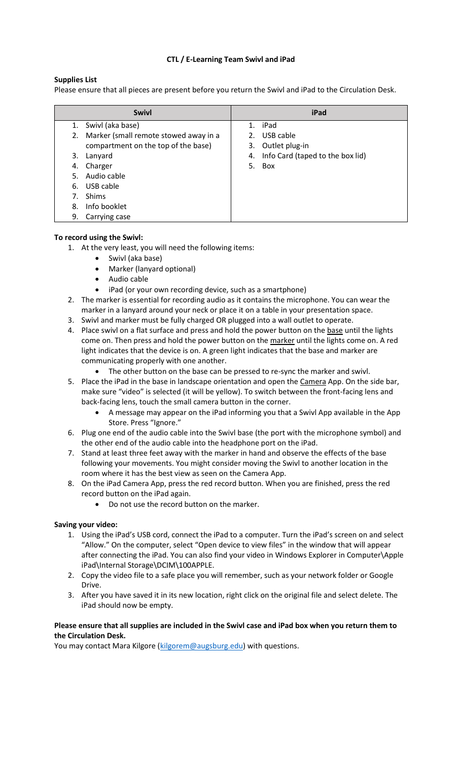### **CTL / E-Learning Team Swivl and iPad**

### **Supplies List**

Please ensure that all pieces are present before you return the Swivl and iPad to the Circulation Desk.

| <b>Swivl</b>                                | iPad                                |
|---------------------------------------------|-------------------------------------|
| Swivl (aka base)<br>1.                      | 1. iPad                             |
| Marker (small remote stowed away in a<br>2. | USB cable<br>2.                     |
| compartment on the top of the base)         | Outlet plug-in<br>3.                |
| 3.<br>Lanyard                               | 4. Info Card (taped to the box lid) |
| Charger<br>4.                               | 5. Box                              |
| Audio cable<br>5.                           |                                     |
| USB cable<br>6.                             |                                     |
| Shims<br>7.                                 |                                     |
| Info booklet<br>8.                          |                                     |
| 9.<br>Carrying case                         |                                     |
|                                             |                                     |

#### **To record using the Swivl:**

1. At the very least, you will need the following items:

- Swivl (aka base)
- Marker (lanyard optional)
- Audio cable
- iPad (or your own recording device, such as a smartphone)
- 2. The marker is essential for recording audio as it contains the microphone. You can wear the marker in a lanyard around your neck or place it on a table in your presentation space.
- 3. Swivl and marker must be fully charged OR plugged into a wall outlet to operate.
- 4. Place swivl on a flat surface and press and hold the power button on the base until the lights come on. Then press and hold the power button on the marker until the lights come on. A red light indicates that the device is on. A green light indicates that the base and marker are communicating properly with one another.
	- The other button on the base can be pressed to re-sync the marker and swivl.
- 5. Place the iPad in the base in landscape orientation and open the Camera App. On the side bar, make sure "video" is selected (it will be yellow). To switch between the front-facing lens and back-facing lens, touch the small camera button in the corner.
	- A message may appear on the iPad informing you that a Swivl App available in the App Store. Press "Ignore."
- 6. Plug one end of the audio cable into the Swivl base (the port with the microphone symbol) and the other end of the audio cable into the headphone port on the iPad.
- 7. Stand at least three feet away with the marker in hand and observe the effects of the base following your movements. You might consider moving the Swivl to another location in the room where it has the best view as seen on the Camera App.
- 8. On the iPad Camera App, press the red record button. When you are finished, press the red record button on the iPad again.
	- Do not use the record button on the marker.

#### **Saving your video:**

- 1. Using the iPad's USB cord, connect the iPad to a computer. Turn the iPad's screen on and select "Allow." On the computer, select "Open device to view files" in the window that will appear after connecting the iPad. You can also find your video in Windows Explorer in Computer\Apple iPad\Internal Storage\DCIM\100APPLE.
- 2. Copy the video file to a safe place you will remember, such as your network folder or Google Drive.
- 3. After you have saved it in its new location, right click on the original file and select delete. The iPad should now be empty.

#### **Please ensure that all supplies are included in the Swivl case and iPad box when you return them to the Circulation Desk.**

You may contact Mara Kilgore [\(kilgorem@augsburg.edu\)](mailto:kilgorem@augsburg.edu) with questions.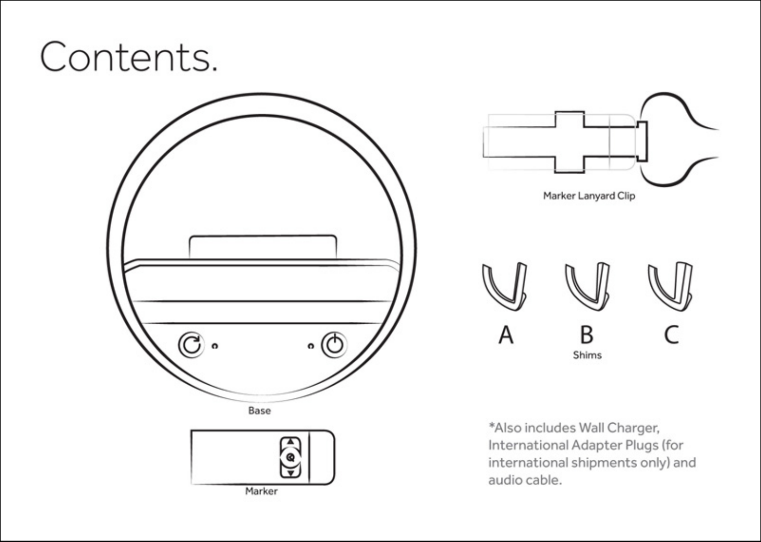# Contents.



ົ

Marker



\*Also includes Wall Charger, International Adapter Plugs (for international shipments only) and audio cable.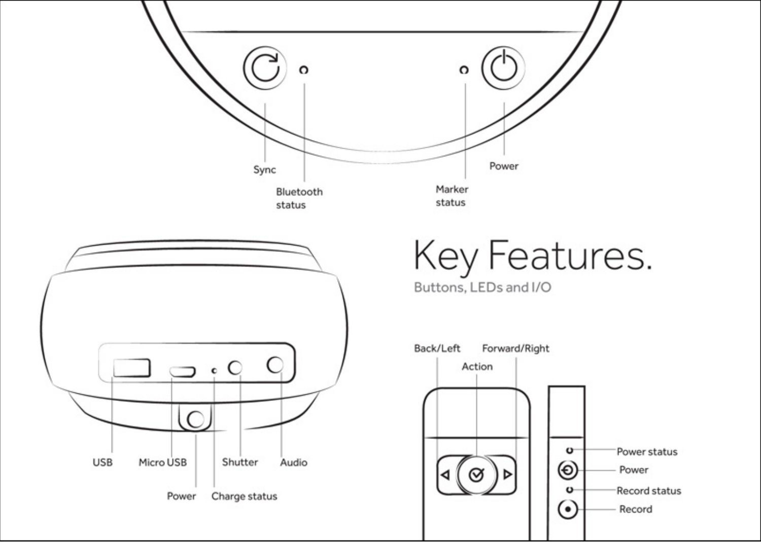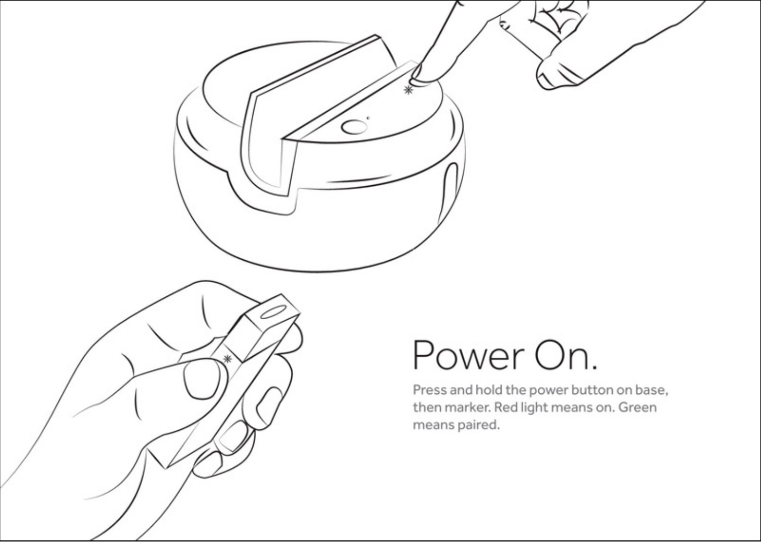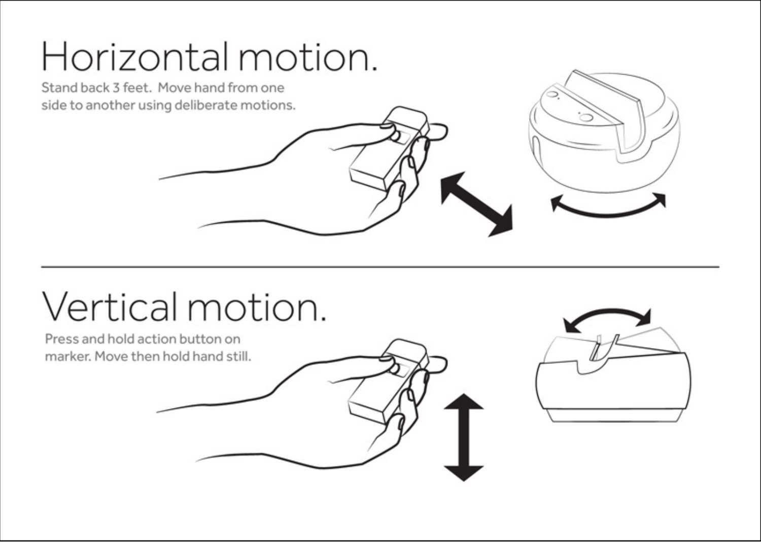# Horizontal motion.

Stand back 3 feet. Move hand from one side to another using deliberate motions.

# Vertical motion.

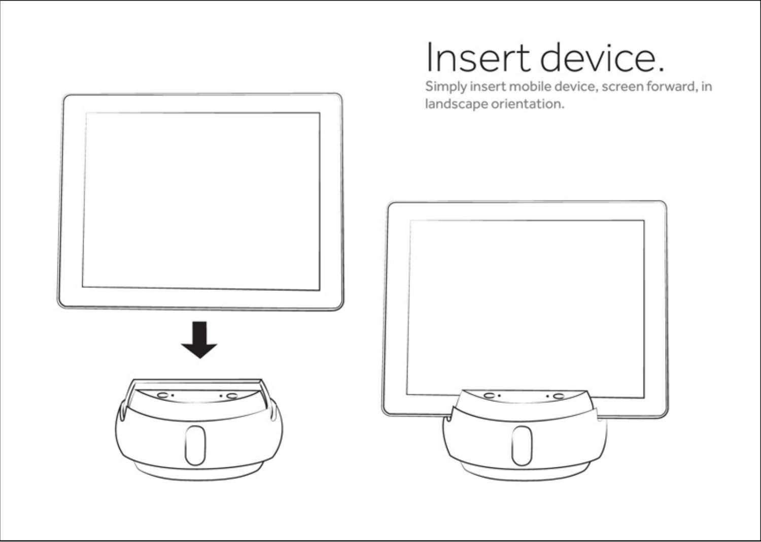

## Insert device.

Simply insert mobile device, screen forward, in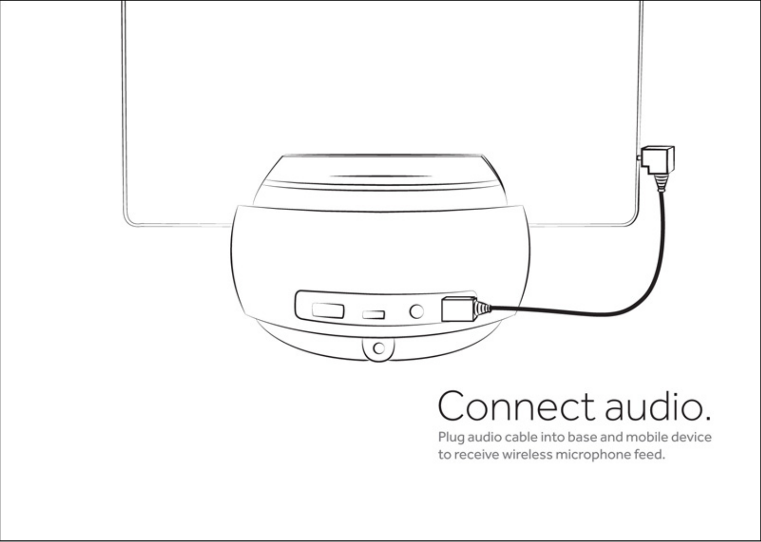

### Connect audio.

Plug audio cable into base and mobile device to receive wireless microphone feed.